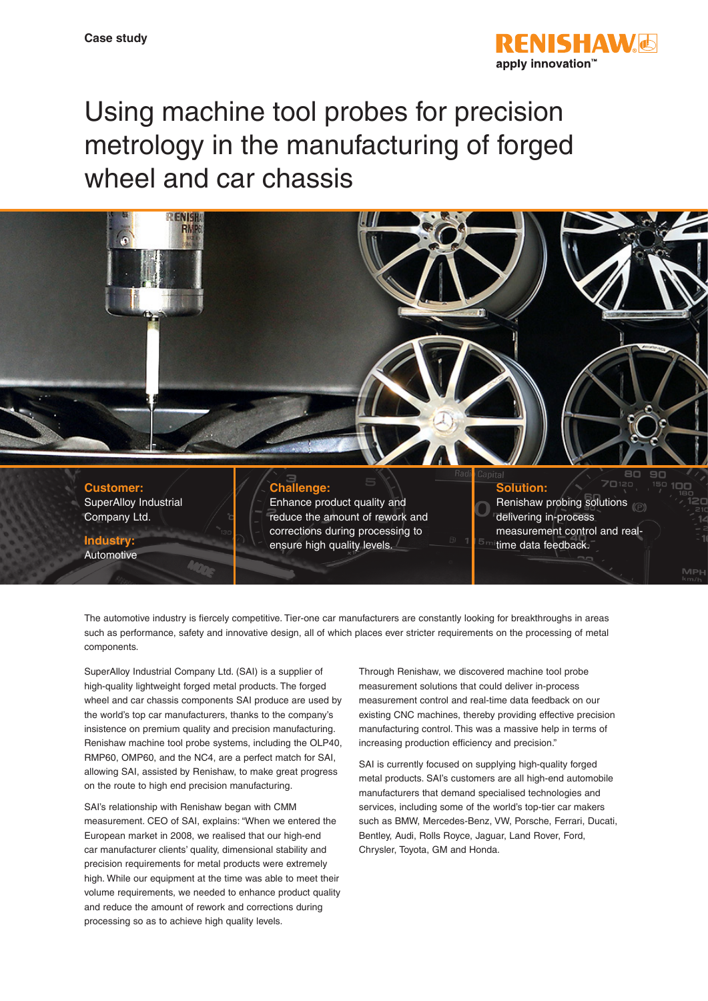

# Using machine tool probes for precision metrology in the manufacturing of forged wheel and car chassis



**Customer:** SuperAlloy Industrial Company Ltd.

**Industry:** Automotive

## **Challenge:**

Enhance product quality and reduce the amount of rework and corrections during processing to ensure high quality levels.

## **Solution:**

Renishaw probing solutions delivering in-process measurement control and real-

time data feedback.

The automotive industry is fiercely competitive. Tier-one car manufacturers are constantly looking for breakthroughs in areas such as performance, safety and innovative design, all of which places ever stricter requirements on the processing of metal components.

SuperAlloy Industrial Company Ltd. (SAI) is a supplier of high-quality lightweight forged metal products. The forged wheel and car chassis components SAI produce are used by the world's top car manufacturers, thanks to the company's insistence on premium quality and precision manufacturing. Renishaw machine tool probe systems, including the OLP40, RMP60, OMP60, and the NC4, are a perfect match for SAI, allowing SAI, assisted by Renishaw, to make great progress on the route to high end precision manufacturing.

SAI's relationship with Renishaw began with CMM measurement. CEO of SAI, explains: "When we entered the European market in 2008, we realised that our high-end car manufacturer clients' quality, dimensional stability and precision requirements for metal products were extremely high. While our equipment at the time was able to meet their volume requirements, we needed to enhance product quality and reduce the amount of rework and corrections during processing so as to achieve high quality levels.

Through Renishaw, we discovered machine tool probe measurement solutions that could deliver in-process measurement control and real-time data feedback on our existing CNC machines, thereby providing effective precision manufacturing control. This was a massive help in terms of increasing production efficiency and precision."

SAI is currently focused on supplying high-quality forged metal products. SAI's customers are all high-end automobile manufacturers that demand specialised technologies and services, including some of the world's top-tier car makers such as BMW, Mercedes-Benz, VW, Porsche, Ferrari, Ducati, Bentley, Audi, Rolls Royce, Jaguar, Land Rover, Ford, Chrysler, Toyota, GM and Honda.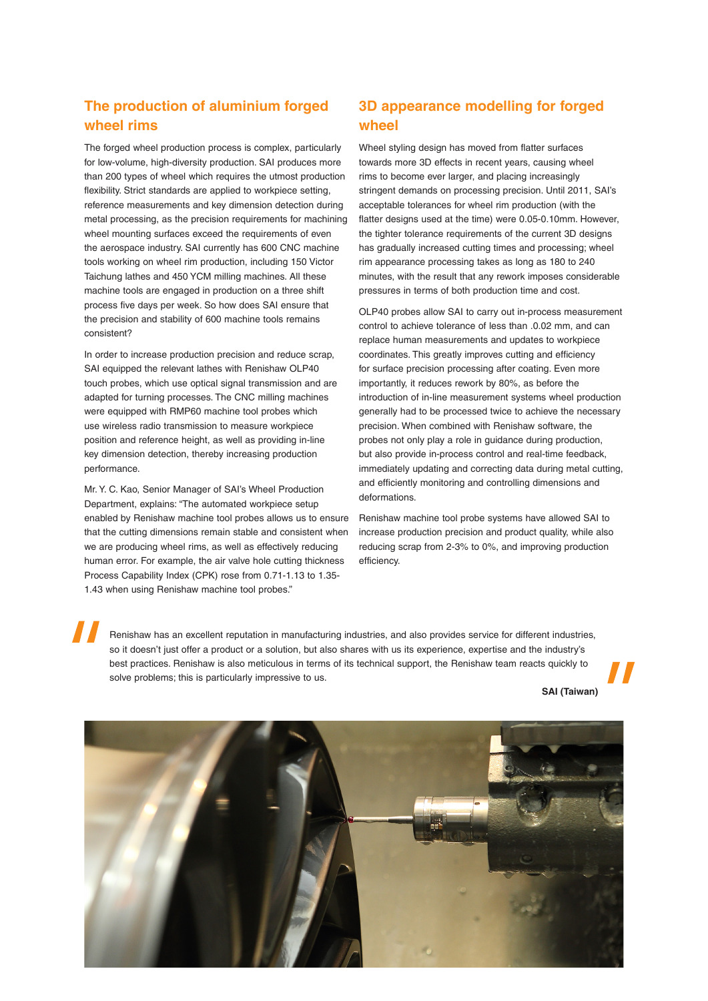#### **The production of aluminium forged wheel rims**

The forged wheel production process is complex, particularly for low-volume, high-diversity production. SAI produces more than 200 types of wheel which requires the utmost production flexibility. Strict standards are applied to workpiece setting. reference measurements and key dimension detection during metal processing, as the precision requirements for machining wheel mounting surfaces exceed the requirements of even the aerospace industry. SAI currently has 600 CNC machine tools working on wheel rim production, including 150 Victor Taichung lathes and 450 YCM milling machines. All these machine tools are engaged in production on a three shift process five days per week. So how does SAI ensure that the precision and stability of 600 machine tools remains consistent?

In order to increase production precision and reduce scrap, SAI equipped the relevant lathes with Renishaw OLP40 touch probes, which use optical signal transmission and are adapted for turning processes. The CNC milling machines were equipped with RMP60 machine tool probes which use wireless radio transmission to measure workpiece position and reference height, as well as providing in-line key dimension detection, thereby increasing production performance.

Mr. Y. C. Kao, Senior Manager of SAI's Wheel Production Department, explains: "The automated workpiece setup enabled by Renishaw machine tool probes allows us to ensure that the cutting dimensions remain stable and consistent when we are producing wheel rims, as well as effectively reducing human error. For example, the air valve hole cutting thickness Process Capability Index (CPK) rose from 0.71-1.13 to 1.35- 1.43 when using Renishaw machine tool probes."

## **3D appearance modelling for forged wheel**

Wheel styling design has moved from flatter surfaces towards more 3D effects in recent years, causing wheel rims to become ever larger, and placing increasingly stringent demands on processing precision. Until 2011, SAI's acceptable tolerances for wheel rim production (with the flatter designs used at the time) were 0.05-0.10mm. However, the tighter tolerance requirements of the current 3D designs has gradually increased cutting times and processing; wheel rim appearance processing takes as long as 180 to 240 minutes, with the result that any rework imposes considerable pressures in terms of both production time and cost.

OLP40 probes allow SAI to carry out in-process measurement control to achieve tolerance of less than 0.02 mm, and can replace human measurements and updates to workpiece coordinates. This greatly improves cutting and efficiency for surface precision processing after coating. Even more importantly, it reduces rework by 80%, as before the introduction of in-line measurement systems wheel production generally had to be processed twice to achieve the necessary precision. When combined with Renishaw software, the probes not only play a role in guidance during production, but also provide in-process control and real-time feedback, immediately updating and correcting data during metal cutting, and efficiently monitoring and controlling dimensions and deformations.

Renishaw machine tool probe systems have allowed SAI to increase production precision and product quality, while also reducing scrap from 2-3% to 0%, and improving production efficiency.

Renishaw has an excellent reputation in manufacturing industries, and also provides service for different industries, so it doesn't just offer a product or a solution, but also shares with us its experience, expertise and the industry's best practices. Renishaw is also meticulous in terms of its technical support, the Renishaw team reacts quickly to solve problems; this is particularly impressive to us.

**SAI (Taiwan)**